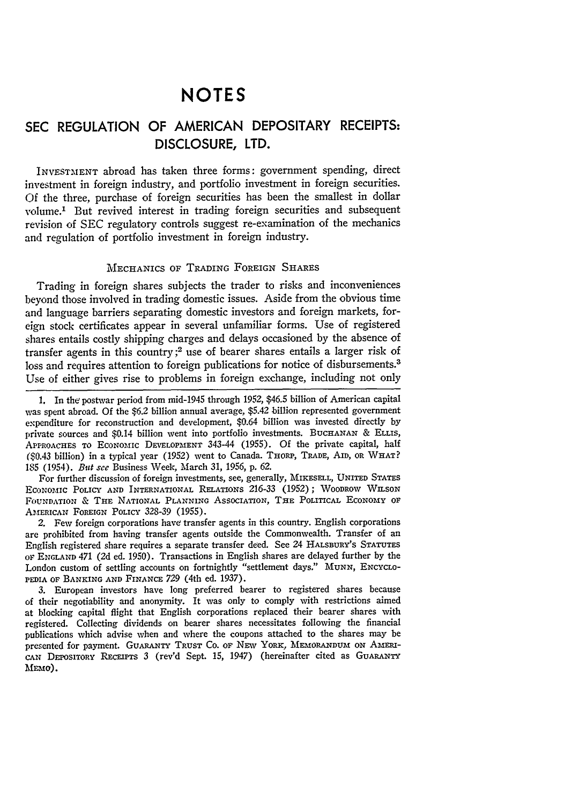# **NOTES**

# **SEC REGULATION** OF **AMERICAN** DEPOSITARY RECEIPTS: **DISCLOSURE,** LTD.

INVESTMENT abroad has taken three forms: government spending, direct investment in foreign industry, and portfolio investment in foreign securities. Of the three, purchase of foreign securities has been the smallest in dollar volume.1 But revived interest in trading foreign securities and subsequent revision of SEC regulatory controls suggest re-examination of the mechanics and regulation of portfolio investment in foreign industry.

# MECHANICS OF TRADING FOREIGN SHARES

Trading in foreign shares subjects the trader to risks and inconveniences beyond those involved in trading domestic issues. Aside from the obvious time and language barriers separating domestic investors and foreign markets, foreign stock certificates appear in several unfamiliar forms. Use of registered shares entails costly shipping charges and delays occasioned by the absence of transfer agents in this country;<sup>2</sup> use of bearer shares entails a larger risk of loss and requires attention to foreign publications for notice of disbursements.<sup>3</sup> Use of either gives rise to problems in foreign exchange, including not only

For further discussion of foreign investments, see, generally, MIKESELL, UNITED **STATES** ECONOMIC POLICY AND INTERNATIONAL RELATIONS 216-33 (1952); WOODROW WILSON FOUNDATION & THE NATIONAL PLANNING ASSOCIATION, THE POLITICAL ECONOMY OF AMERICAN FOREIGN POLICY 328-39 (1955).

*2.* Few foreign corporations have transfer agents in this country. English corporations are prohibited from having transfer agents outside the Commonwealth. Transfer of an English registered share requires a separate transfer deed. See 24 HALSBURY'S STATUTES OF ENGLAND 471 (2d ed. 1950). Transactions in English shares are delayed further by the London custom of settling accounts on fortnightly "settlement days." MUNN, ENCYCLO-PEDIA OF **BANKING** AND FINANCE *729* (4th ed. **1937).**

**3.** European investors have long preferred bearer to registered shares because of their negotiability and anonymity. It was only to comply with restrictions aimed at blocking capital flight that English corporations replaced their bearer shares with registered. Collecting dividends on bearer shares necessitates following the financial publications which advise when and where the coupons attached to the shares may be presented for payment. GUARANTY **TRUST** Co. Or NEv YORK, MEMORANDUm ON AMERIcANt DEPOSITORY Rrcan'rs 3 (rev'd Sept. 15, 1947) (hereinafter cited as **GUARANTY MEMo).**

<sup>1.</sup> In the postwar period from mid-1945 through 1952, \$46.5 billion of American capital was spent abroad. Of the \$6.2 billion annual average, \$5.42 billion represented government expenditure for reconstruction and development, \$0.64 billion was invested directly by private sources and \$0.14 billion went into portfolio investments. BUCHANAN & ELLIS, APPROACHES TO ECONOMIC DEVELOPMENT 343-44 (1955). Of the private capital, half (\$0.43 billion) in a typical year (1952) went to Canada. THORP, TRADE, AID, OR WHAT? **185** (1954). *But* see Business Week, March *31,* 1956, p. *62.*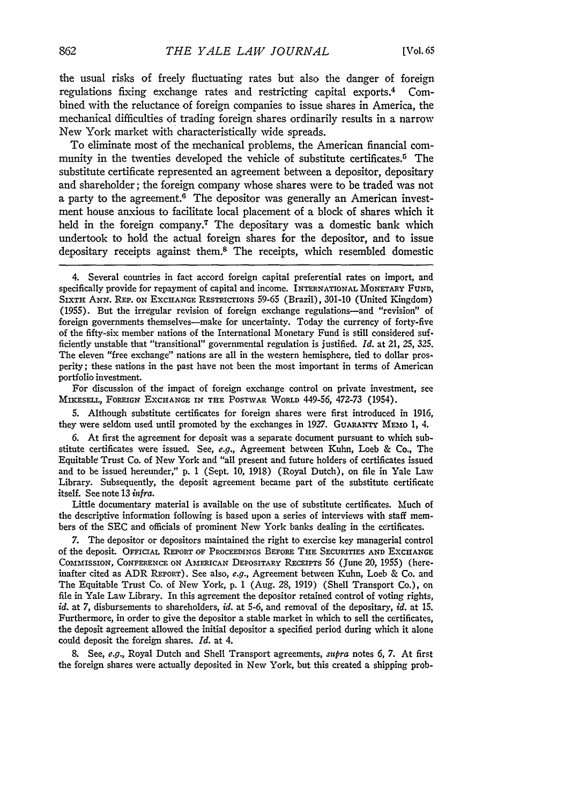the usual risks of freely fluctuating rates but also the danger of foreign regulations fixing exchange rates and restricting capital exports. 4 Combined with the reluctance of foreign companies to issue shares in America, the mechanical difficulties of trading foreign shares ordinarily results in a narrow New York market with characteristically wide spreads.

To eliminate most of the mechanical problems, the American financial community in the twenties developed the vehicle of substitute certificates.<sup>5</sup> The substitute certificate represented an agreement between a depositor, depositary and shareholder; the foreign company whose shares were to be traded was not a party to the agreement.<sup>6</sup> The depositor was generally an American investment house anxious to facilitate local placement of a block of shares which it held in the foreign company.<sup>7</sup> The depositary was a domestic bank which undertook to hold the actual foreign shares for the depositor, and to issue depositary receipts against them.8 The receipts, which resembled domestic

For discussion of the impact of foreign exchange control on private investment, see MIKEsELL, FOREIGN EXCHANGE IN **THE** POSTWAR WORLD 449-56, 472-73 (1954).

5. Although substitute certificates for foreign shares were first introduced in 1916, they were seldom used until promoted by the exchanges in 1927. GUARANTY MEMO 1, 4.

6. At first the agreement for deposit was a separate document pursuant to which substitute certificates were issued. See, *e.g.,* Agreement between Kuhn, Loeb & Co., The Equitable Trust Co. of New York and "all present and future holders of certificates issued and to be issued hereunder," p. 1 (Sept. 10, 1918) (Royal Dutch), on file in Yale Law Library. Subsequently, the deposit agreement became part of the substitute certificate itself. See note 13 *infra.*

Little documentary material is available on the use of substitute certificates. Much of the descriptive information following is based upon a series of interviews with staff members of the SEC and officials of prominent New York banks dealing in the certificates.

7. The depositor or depositors maintained the right to exercise key managerial control of the deposit. OFFICIAL **REPORT OF** PROCEEDINGS BEFORE THE SECURITIES **AND** EXCHANGE COMMISSION, **CONFERENCE** ON AMERICAN DEPOSITARY RECEIPTS 56 (June 20, 1955) (hereinafter cited as ADR REPORT). See also, *e.g.,* Agreement between Kuhn, Loeb & Co. and The Equitable Trust Co. of New York, p. 1 (Aug. 28, 1919) (Shell Transport Co.), on file in Yale Law Library. In this agreement the depositor retained control of voting rights, *id.* at 7, disbursements to shareholders, *id.* at 5-6, and removal of the depositary, *id.* at 15. Furthermore, in order to give the depositor a stable market in which to sell the certificates, the deposit agreement allowed the initial depositor a specified period during which it alone could deposit the foreign shares. *Id.* at 4.

8. See, *e.g.,* Royal Dutch and Shell Transport agreements, *supra* notes 6, 7. At first the foreign shares were actually deposited in New York, but this created a shipping prob-

<sup>4.</sup> Several countries in fact accord foreign capital preferential rates on import, and specifically provide for repayment of capital and income. **INTERNATIONAL** MONETARY FUND, SIXTH ANN. **REp.** ON EXCHANGE RESTRICTIONS 59-65 (Brazil), 301-10 (United Kingdom) (1955). But the irregular revision of foreign exchange regulations-and "revision" of foreign governments themselves-make for uncertainty. Today the currency of forty-five of the fifty-six member nations of the International Monetary Fund is still considered sufficiently unstable that "transitional" governmental regulation is justified. *Id.* at 21, 25, 325. The eleven "free exchange" nations are all in the western hemisphere, tied to dollar prosperity; these nations in the past have not been the most important in terms of American portfolio investment.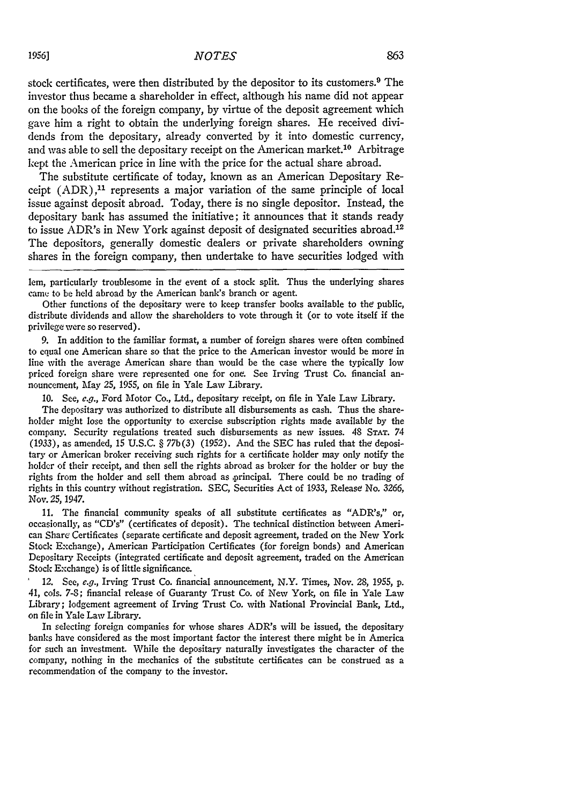stock certificates, were then distributed by the depositor to its customers.<sup>9</sup> The investor thus became a shareholder in effect, although his name did not appear on the books of the foreign company, by virtue of the deposit agreement which gave him a right to obtain the underlying foreign shares. He received dividends from the depositary, already converted by it into domestic currency, and was able to sell the depositary receipt on the American market.<sup>10</sup> Arbitrage kept the American price in line with the price for the actual share abroad.

The substitute certificate of today, known as an American Depositary Receipt  $(ADR)$ ,<sup>11</sup> represents a major variation of the same principle of local issue against deposit abroad. Today, there is no single depositor. Instead, the depositary bank has assumed the initiative; it announces that it stands ready to issue ADR's in New York against deposit of designated securities abroad.<sup>12</sup> The depositors, generally domestic dealers or private shareholders owning shares in the foreign company, then undertake to have securities lodged with

lem, particularly troublesome in the event of a stock split. Thus the underlying shares came to be held abroad by the American bank's branch or agent.

Other functions of the depositary were to keep transfer books available to the public, distribute dividends and allow the shareholders to vote through it (or to vote itself if the privilege were so reserved).

9. In addition to the familiar format, a number of foreign shares were often combined to equal one American share so that the price to the American investor would be more in line with the average American share than would be the case where the typically low priced foreign share were represented one for one. See Irving Trust Co. financial announcement, May **25,** *1955,* on file in Yale Law Library.

**10.** See, e.g., Ford Motor Co., Ltd., depositary receipt, on file in Yale Lav Library.

The depositary was authorized to distribute all disbursements as cash. Thus the shareholder might lose the opportunity to exercise subscription rights made available by the company. Security regulations treated such disbursements as new issues. 48 **STAT.** 74 (1933), as amended, **15** U.S.C. § 77b(3) (1952). And the **SEC** has ruled that the depositary or American broker receiving such rights for a certificate holder may only notify the holder of their receipt, and then sell the rights abroad as broker for the holder or buy the rights from the holder and sell them abroad as principal. There could be no trading of rights in this country without registration. SEC, Securities Act of 1.933, Release No. *3266,* Nov. 25, **1947.**

11. The financial community speaks of all substitute certificates as "ADR's," *or,* occasionally, as "CD's" (certificates of deposit). The technical distinction between American Share Certificates (separate certificate and deposit agreement, traded on the New York Stock Exchange), American Participation Certificates (for foreign bonds) and American Depositary Receipts (integrated certificate and deposit agreement, traded on the American Stock Exchange) is of little significance.

*12.* See, *e.g.,* Irving Trust Co. financial announcement, N.Y. Times, Nov. 28, *1955,* p. 41, cols. 7-8; financial release of Guaranty Trust Co. of New York, on file in Yale Law Library; lodgement agreement of Irving Trust Co. with National Provincial Bank, Ltd., on file in Yale Law Library.

In selecting foreign companies for whose shares ADR's will be issued, the depositary banks have considered as the most important factor the interest there might be in America for such an investment. While the depositary naturally investigates the character of the company, nothing in the mechanics of the substitute certificates can be construed as a recommendation of the company to the investor.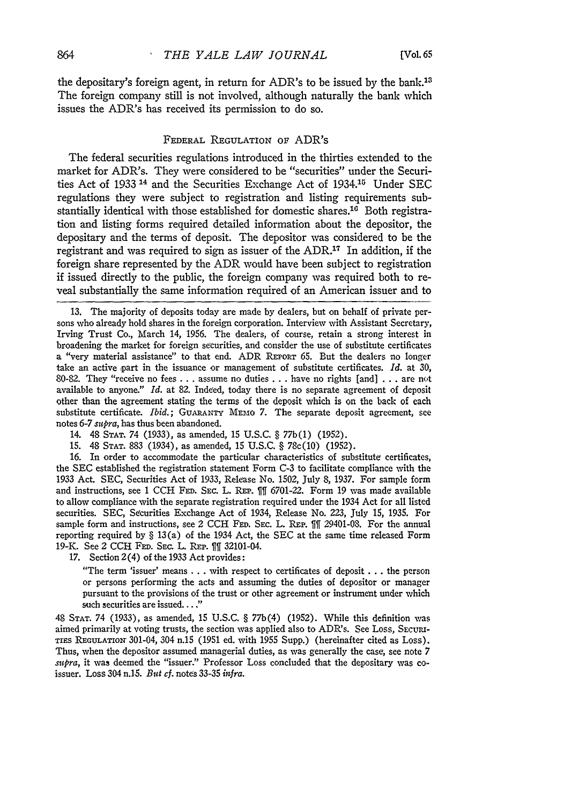the depositary's foreign agent, in return for ADR's to be issued by the bank.<sup>13</sup> The foreign company still is not involved, although naturally the bank which issues the ADR's has received its permission to do so.

## **FEDERAL REGULATION OF** ADR's

The federal securities regulations introduced in the thirties extended to the market for ADR's. They were considered to be "securities" under the Securities Act of 1933<sup>14</sup> and the Securities Exchange Act of 1934.<sup>15</sup> Under SEC regulations they were subject to registration and listing requirements substantially identical with those established for domestic shares.<sup>16</sup> Both registration and listing forms required detailed information about the depositor, the depositary and the terms of deposit. The depositor was considered to be the registrant and was required to sign as issuer of the ADR.17 In addition, if the foreign share represented by the ADR would have been subject to registration if issued directly to the public, the foreign company was required both to reveal substantially the same information required of an American issuer and to

13. The majority of deposits today are made by dealers, but on behalf of private persons who already hold shares in the foreign corporation. Interview with Assistant Secretary, Irving Trust Co., March 14, 1956. The dealers, of course, retain a strong interest in broadening the market for foreign securities, and consider the use of substitute certificates a "very material assistance" to that end. ADR REPORT 65. But the dealers no longer take an active part in the issuance or management of substitute certificates. *Id.* at 30, 80-82. They "receive no fees . . . assume no duties . . . have no rights [and] . . . are not available to anyone." *Id.* at 82. Indeed, today there is no separate agreement of deposit other than the agreement stating the terms of the deposit which is on the back of each substitute certificate. *Ibid.;* **GUARANTY** MEmO **7.** The separate deposit agreement, see notes 6-7 *supra,* has thus been abandoned.

14. 48 **STAT.** 74 (1933), as amended, 15 U.S.C. § 77b(1) (1952).

15. 48 STAT. 883 (1934), as amended, 15 U.S.C. § 78c(10) (1952).

16. In order to accommodate the particular characteristics of substitute certificates, the SEC established the registration statement Form C-3 to facilitate compliance with the 1933 Act. SEC, Securities Act of 1933, Release No. 1502, July 8, 1937. For sample form and instructions, see 1 **CCH FED.** SEC. L. **REP.** Wil 6701-22. Form 19 was made available to allow compliance with the separate registration required under the 1934 Act for all listed securities. SEC, Securities Exchange Act of 1934, Release No. 223, July 15, 1935. For sample form and instructions, see 2 CCH FED. SEC. L. REP. <sup>111</sup> 29401-08. For the annual reporting required by § 13 (a) of the 1934 Act, the SEC at the same time released Form 19-K. See 2 CCH FED. SEC. L. REP. 11 32101-04.

17. Section 2(4) of the 1933 Act provides:

"The term 'issuer' means **. . .** with respect to certificates of deposit **...** the person or persons performing the acts and assuming the duties of depositor or manager pursuant to the provisions of the trust or other agreement or instrument under which such securities are issued. . . ."

48 **STAT.** 74 (1933), as amended, 15 U.S.C. § 77b(4) (1952). While this definition was aimed primarily at voting trusts, the section was applied also to ADR's. See Loss, *SECURa-*TIES REGULATIOI 301-04, 304 n.15 (1951 ed. with 1955 Supp.) (hereinafter cited as Loss). Thus, when the depositor assumed managerial duties, as was generally the case, see note 7 *supra,* it was deemed the "issuer." Professor Loss concluded that the depositary was coissuer. Loss 304 n.l5. *But cf.* notes **33-35** *infra.*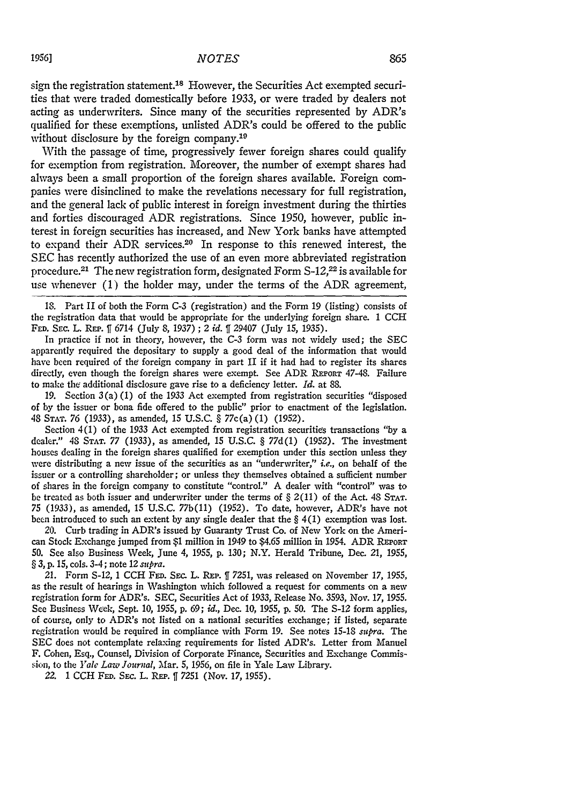sign the registration statement.<sup>18</sup> However, the Securities Act exempted securities that were traded domestically before 1933, or were traded **by** dealers not acting as underwriters. Since many of the securities represented **by** ADR's qualified for these exemptions, unlisted ADR's could be offered to the public without disclosure by the foreign company.<sup>19</sup>

With the passage of time, progressively fewer foreign shares could qualify for exemption from registration. Moreover, the number of exempt shares had always been a small proportion of the foreign shares available. Foreign companies were disinclined to make the revelations necessary for full registration, and the general lack of public interest in foreign investment during the thirties and forties discouraged ADR registrations. Since 1950, however, public interest in foreign securities has increased, and New York banks have attempted to expand their ADR services.<sup>20</sup> In response to this renewed interest, the SEC has recently authorized the use of an even more abbreviated registration procedure.21 The new registration form, designated Form **S-12,22** is available for use whenever (1) the holder may, under the terms of the ADR agreement,

**18.** Part II of both the Form **C-3** (registration) and the Form **19** (listing) consists of the registration data that would be appropriate for the underlying foreign share. 1 CCH **FED.** SEc. L. RmE. **ff** 6714 (July **8,** *1937)* **;** 2 *id.* **ff** 29407 (July **15,** 1935).

In practice if not in theory, however, the C-3 form was not widely used; the SEC apparently required the depositary to supply a good deal of the information that would have been required of the foreign company in part II if it had had to register its shares directly, even though the foreign shares were exempt. See ADR **REPORT** 47-48. Failure to make the additional disclosure gave rise to a deficiency letter. *Id.* at 88.

19. Section 3 (a) (1) of the 1933 Act exempted from registration securities "disposed of by the issuer or bona fide offered to the public" prior to enactment of the legislation. 48 **STA T.** *76* (1933), as amended, **15** U.S.C. § 77c(a) (1) (1952).

Section 4(1) of the 1933 Act exempted from registration securities transactions "by a dealer." 48 **STAT.** *77* (1933), as amended, 15 U.S.C. § 77d(1) (1952). The investment houses dealing in the foreign shares qualified for exemption under this section unless they were distributing a new issue of the securities as an "underwriter," *i.e.*, on behalf of the issuer or a controlling shareholder; or unless they themselves obtained a sufficient number of shares in the foreign company to constitute "control." **A** dealer with "control" was to be treated as both issuer and underwriter under the terms of § 2(11) of the Act. 48 **STAT.** *75 (1933),* as amended, **15** U.S.C. 77b(11) (1952). To date, however, ADR's have not been introduced to such an extent by any single dealer that the  $\S 4(1)$  exemption was lost.

20. Curb trading in ADR's issued by Guaranty Trust Co. of New York on the American Stock Exchange jumped from **\$1** million in 1949 to \$4.65 million in 1954. ADR **REPORT 50.** See also Business Week, June *4,* 1955, p. 130; N.Y. Herald Tribune, Dec. 21, 1955, § 3, p. 15, cols. 3-4; note 12 *supra.*

21. Form S-12, 1 CCH FED. SEC. L. REP. *[ 7251*, was released on November 17, 1955, as the result of hearings in Washington which followed a request for comments on a new registration form for ADR's. SEC, Securities Act of 1933, Release No. 3593, Nov. 17, 1955. See Business Week, Sept. 10, 1955, **p.** *69; id.,* Dec. 10, 1955, **p.** 50. The S-12 form applies, of course, only to ADR's not listed on a national securities exchange; if listed, separate registration would be required in compliance with Form 19. See notes 15-18 supra. The SEC does not contemplate relaxing requirements for listed ADR's. Letter from Manuel F. Cohen, Esq., Counsel, Division of Corporate Finance, Securities and Exchange Commission, to the *Yale Law Journal,* Mar. 5, 1956, on file in Yale Law Library.

*22.* 1 CCH **FED.** SEc. L. **REP. ff** 7251 (Nov. 17, 1955).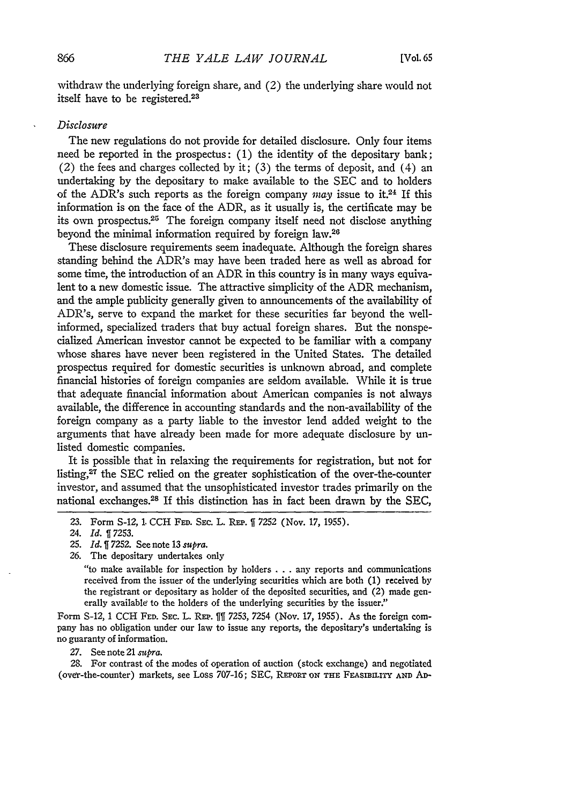withdraw the underlying foreign share, and (2) the underlying share would not itself have to be registered.<sup>23</sup>

# *Disclosure*

The new regulations do not provide for detailed disclosure. Only four items need be reported in the prospectus: (1) the identity of the depositary bank; (2) the fees and charges collected **by** it; (3) the terms of deposit, and (4) an undertaking **by** the depositary to make available to the SEC and to holders of the ADR's such reports as the foreign company *may* issue to **it.24** If this information is on the face of the ADR, as it usually is, the certificate may be its own prospectus.<sup>25</sup> The foreign company itself need not disclose anything beyond the minimal information required **by** foreign law. <sup>26</sup>

These disclosure requirements seem inadequate. Although the foreign shares standing behind the ADR's may have been traded here as well as abroad for some time, the introduction of an ADR in this country is in many ways equivalent to a new domestic issue. The attractive simplicity of the ADR mechanism, and the ample publicity generally given to announcements of the availability of ADR's, serve to expand the market for these securities far beyond the wellinformed, specialized traders that buy actual foreign shares. But the nonspecialized American investor cannot be expected to be familiar with a company whose shares have never been registered in the United States. The detailed prospectus required for domestic securities is unknown abroad, and complete financial histories of foreign companies are seldom available. While it is true that adequate financial information about American companies is not always available, the difference in accounting standards and the non-availability of the foreign company as a party liable to the investor lend added weight to the arguments that have already been made for more adequate disclosure **by** unlisted domestic companies.

It is possible that in relaxing the requirements for registration, but not for listing, $27$  the SEC relied on the greater sophistication of the over-the-counter investor, and assumed that the unsophisticated investor trades primarily on the national exchanges. 28 If this distinction has in fact been drawn by the SEC,

26. The depositary undertakes only

"to make available for inspection by holders . . . any reports and communications received from the issuer of the underlying securities which are both (1) received by the registrant or depositary as holder of the deposited securities, and (2) made generally available to the holders of the underlying securities by the issuer."

Form S-12, 1 CCH FED. SEC. L. REP. 111 7253, 7254 (Nov. 17, 1955). As the foreign company has no obligation under our law to issue any reports, the depositary's undertaking is no guaranty of information.

**27.** See note 21 *supra.*

28. For contrast of the modes of operation of auction (stock exchange) and negotiated (over-the-counter) markets, see Loss 707-16; SEC, **REPoRT ON THE FEASIBLULY AND AD-**

<sup>23.</sup> Form S-12, 1. **CCH FED.** SEC. L. REP. 1 7252 (Nov. 17, 1955).

<sup>24.</sup> *Id.* 7253.

**<sup>25.</sup>** *Id. 1* 7252. See note 13 *supra.*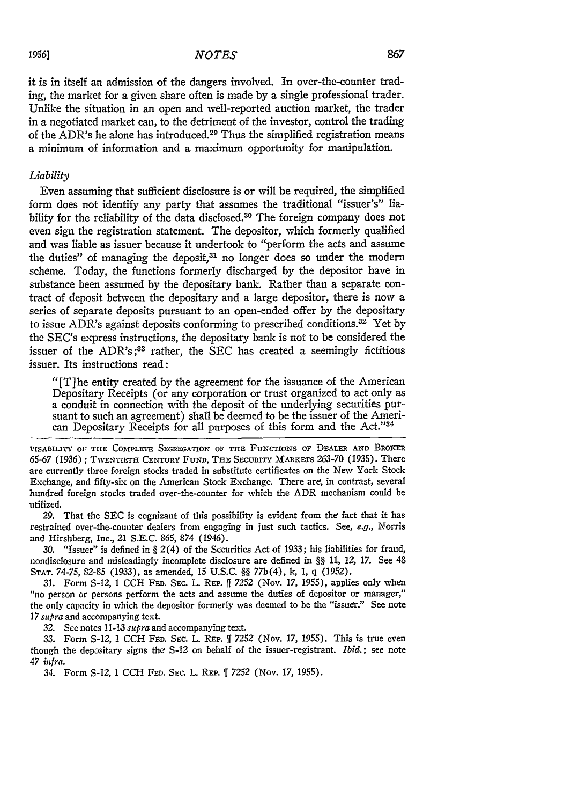#### *NOTES*

it is in itself an admission of the dangers involved. In over-the-counter trading, the market for a given share often is made **by** a single professional trader. Unlike the situation in an open and well-reported auction market, the trader in a negotiated market can, to the detriment of the investor, control the trading of the ADR's he alone has introduced.29 Thus the simplified registration means a minimum of information and a maximum opportunity for manipulation.

### *Liability*

Even assuming that sufficient disclosure is or will be required, the simplified form does not identify any party that assumes the traditional "issuer's" liability for the reliability of the data disclosed.<sup>30</sup> The foreign company does not even sign the registration statement. The depositor, which formerly qualified and was liable as issuer because it undertook to "perform the acts and assume the duties" of managing the deposit, $31$  no longer does so under the modern scheme. Today, the functions formerly discharged by the depositor have in substance been assumed by the depositary bank. Rather than a separate contract of deposit between the depositary and a large depositor, there is now a series of separate deposits pursuant to an open-ended offer by the depositary to issue ADR's against deposits conforming to prescribed conditions.<sup>32</sup> Yet by the SEC's express instructions, the depositary bank is not to be considered the issuer of the ADR's **;33** rather, the **SEC** has created a seemingly fictitious issuer. Its instructions read:

"[T]he entity created by the agreement for the issuance of the American Depositary Receipts (or any corporation or trust organized to act only as a conduit in connection with the deposit of the underlying securities pursuant to such an agreement) shall be deemed to be the issuer of the American Depositary Receipts for all purposes of this form and the Act."<sup>34</sup>

**VISABILITY OF THE** COMPLETE **SEGREGATION** OF THE **FUNCTIONS** OF DEALER **AND** BROKER 65-67 (1936) **; TWENTIETH CENTURY** FUND, THE SEcuRITY MARKETs **263-70** (1935). There are currently three foreign stocks traded in substitute certificates on the New York Stock Exchange, and fifty-six on the American Stock Exchange. There are, in contrast, several hundred foreign stocks traded over-the-counter for which the ADR mechanism could be utilized.

**29.** That the **SEC** is cognizant of this possibility is evident from the fact that it has restrained over-the-counter dealers from engaging in just such tactics. See, e.g., Norris and Hirshberg, Inc., 21 **S.E.C. 865,** 874 (1946).

**30.** "Issuer" is defined in § 2(4) of the Securities Act of **1933;** his liabilities for fraud, nondisclosure and misleadingly incomplete disclosure are defined in §§ *11,* 12, **17.** See 48 **STAT. 74-75, 82-85 (1933),** as amended, **15 U.S.C.** §§ **77b(4), k, 1, q (1952).**

**31.** Form **S-12, 1 CCH** FED. **SEc.** L. REP. **ff 7252** (Nov. **17, 1955),** applies only when "no person or persons perform the acts and assume the duties of depositor or manager," the only capacity in which the depositor formerly was deemed to **be** the "issuer." See note **<sup>17</sup>***supra* and accompanying text.

*32.* See notes **11-13** *supra* and accompanying text.

**33.** Form **S-12,** 1 **CCH FED. SEc.** L. REP. **ff 7252** (Nov. **17, 1955).** This is true even though the depositary signs the S-12 on behalf of the issuer-registrant. *Ibid.;* see note *47 infra.*

34. Form **S-12,** 1 **CCH FED. SEC.** L. **REP.** IT *7252* (Nov. 17, **1955).**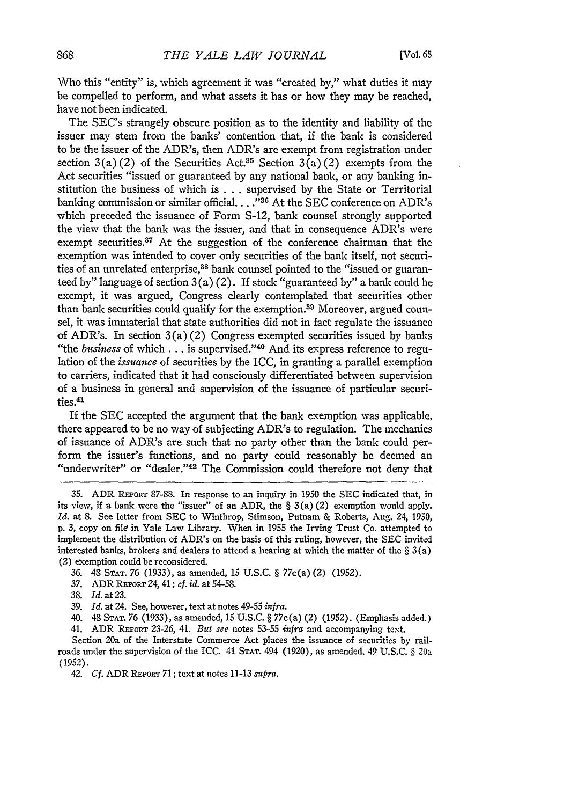Who this "entity" is, which agreement it was "created by," what duties it may be compelled to perform, and what assets it has or how they may be reached, have not been indicated.

The SEC's strangely obscure position as to the identity and liability of the issuer may stem from the banks' contention that, if the bank is considered to be the issuer of the ADR's, then ADR's are exempt from registration under section  $3(a)(2)$  of the Securities Act.<sup>35</sup> Section  $3(a)(2)$  exempts from the Act securities "issued or guaranteed by any national bank, or any banking institution the business of which is . . . supervised by the State or Territorial banking commission or similar official.. . **."31** At the SEC conference on ADR's which preceded the issuance of Form S-12, bank counsel strongly supported the view that the bank was the issuer, and that in consequence ADR's were exempt securities.<sup>37</sup> At the suggestion of the conference chairman that the exemption was intended to cover only securities of the bank itself, not securities of an unrelated enterprise,<sup>38</sup> bank counsel pointed to the "issued or guaranteed by" language of section  $3(a)(2)$ . If stock "guaranteed by" a bank could be exempt, it was argued, Congress clearly contemplated that securities other than bank securities could qualify for the exemption.<sup>30</sup> Moreover, argued counsel, it was immaterial that state authorities did not in fact regulate the issuance of ADR's. In section  $3(a)(2)$  Congress exempted securities issued by banks "the *business* of which **...** is supervised."40 And its express reference to regulation of the *issuance* of securities by the ICC, in granting a parallel exemption to carriers, indicated that it had consciously differentiated between supervision of a business in general and supervision of the issuance of particular securities.<sup>41</sup>

If the SEC accepted the argument that the bank exemption was applicable, there appeared to be no way of subjecting ADR's to regulation. The mechanics of issuance of ADR's are such that no party other than the bank could perform the issuer's functions, and no party could reasonably be deemed an "underwriter" or "dealer."<sup>42</sup> The Commission could therefore not deny that

**<sup>35.</sup>** ADR **REPoRT** 87-88. In response to an inquiry in 1950 the SEC indicated that, in its view, if a bank were the "issuer" of an ADR, the  $\S 3(a)(2)$  exemption would apply. *Id.* at 8. See letter from SEC to Winthrop, Stimson, Putnam & Roberts, Aug. 24, 1950, p. 3, copy on file in Yale Law Library. When in 1955 the Irving Trust Co. attempted to implement the distribution of ADR's on the basis of this ruling, however, the SEC invited interested banks, brokers and dealers to attend a hearing at which the matter of the  $\S 3(a)$ (2) exemption could be reconsidered.

<sup>36. 48</sup> **STAT. 76** (1933), as amended, 15 U.S.C. § 77c(a) (2) (1952).

<sup>37.</sup> ADR **REPoRT** *24,* 41; *cf. id.* at 54-58.

<sup>38.</sup> *Id.* at 23.

<sup>39.</sup> *Id.* at 24. See, however, text at notes 49-55 *infra.*

<sup>40. 48</sup> **STAT.** 76 (1933), as amended, 15 U.S.C. § 77c(a) (2) (1952). (Emphasis added.)

<sup>41.</sup> ADR REPORT 23-26, 41. *But see* notes 53-55 *infra* and accompanying text.

Section 20a of the Interstate Commerce Act places the issuance of securities by railroads under the supervision of the ICC. 41 **STAT.** 494 (1920), as amended, 49 U.S.C. § 20a (1952).

<sup>42.</sup> *Cf.* ADR **REPORT** 71; text at notes 11-13 *supra.*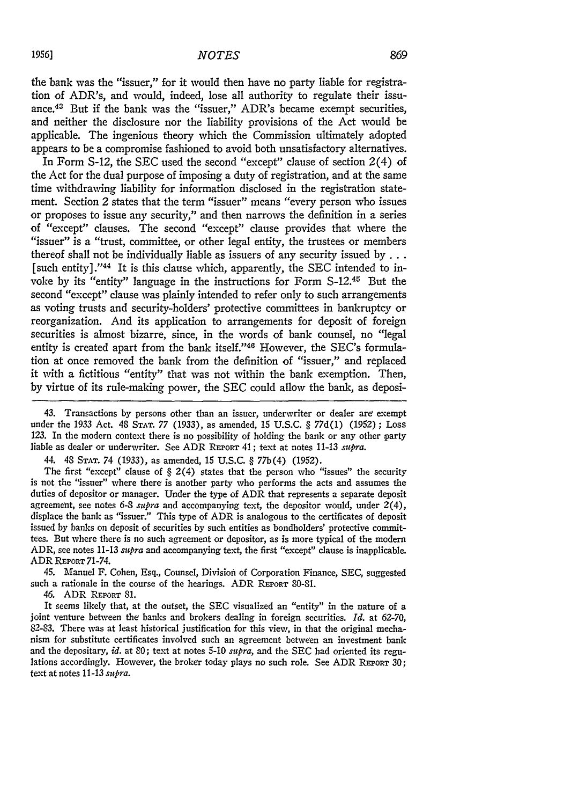the bank was the "issuer," for it would then have no party liable for registration of ADR's, and would, indeed, lose all authority to regulate their issuance.43 But if the bank was the "issuer," ADR's became exempt securities, and neither the disclosure nor the liability provisions of the Act would be applicable. The ingenious theory which the Commission ultimately adopted appears to be a compromise fashioned to avoid both unsatisfactory alternatives.

In Form S-12, the SEC used the second "except" clause of section 2(4) of the Act for the dual purpose of imposing a duty of registration, and at the same time withdrawing liability for information disclosed in the registration statement. Section 2 states that the term "issuer" means "every person who issues or proposes to issue any security," and then narrows the definition in a series of "except" clauses. The second "except" clause provides that where the "issuer" is a "trust, committee, or other legal entity, the trustees or members thereof shall not be individually liable as issuers of any security issued **by...** [such entity]." $44$  It is this clause which, apparently, the SEC intended to invoke by its "entity" language in the instructions for Form S-12.45 But the second "except" clause was plainly intended to refer only to such arrangements as voting trusts and security-holders' protective committees in bankruptcy or reorganization. And its application to arrangements for deposit of foreign securities is almost bizarre, since, in the words of bank counsel, no "legal entity is created apart from the bank itself."<sup>46</sup> However, the SEC's formulation at once removed the bank from the definition of "issuer," and replaced it with a fictitious "entity" that was not within the bank exemption. Then, by virtue of its rule-making power, the SEC could allow the bank, as deposi-

43. Transactions by persons other than an issuer, underwriter or dealer are exempt under the 1933 Act. 48 **STAT.** 77 (1933), as amended, 15 U.S.C. § 77d(1) (1952) ; Loss 123. In the modern context there is no possibility of holding the bank or any other party liable as dealer or underwriter. See ADR REPORT 41; text at notes 11-13 *supra.*

44. 48 **STAT.** *74* (1933), as amended, 15 U.S.C. § 77b(4) (1952).

The first "except" clause of  $\S 2(4)$  states that the person who "issues" the security is not the "issuer" where there is another party who performs the acts and assumes the duties of depositor or manager. Under the type of ADR that represents a separate deposit agreement, see notes 6-S *supra* and accompanying text, the depositor would, under 2(4), displace the bank as "issuer." This type of ADR is analogous to the certificates of deposit issued by banks on deposit of securities by such entities as bondholders' protective committees. But where there is no such agreement or depositor, as is more typical of the modem ADR, see notes 11-13 *supra* and accompanying text, the first "except" clause is inapplicable. ADR **REPoRT** 71-74.

45. Manuel F. Cohen, Esq., Counsel, Division of Corporation Finance, SEC, suggested such a rationale in the course of the hearings. ADR **REPoRT** 80-81.

46. ADR REPORT 81.

It seems likely that, at the outset, the SEC visualized an "entity" in the nature of a joint venture between the banks and brokers dealing in foreign securities. *Id.* at 62-70, 82-83. There was at least historical justification for this view, in that the original mechanism for substitute certificates involved such an agreement between an investment bank and the depositary, *id.* at **80;** text at notes 5-10 *supra,* and the SEC had oriented its regulations accordingly. However, the broker today plays no such role. See ADR REPORT 30; text at notes 11-13 *supra.*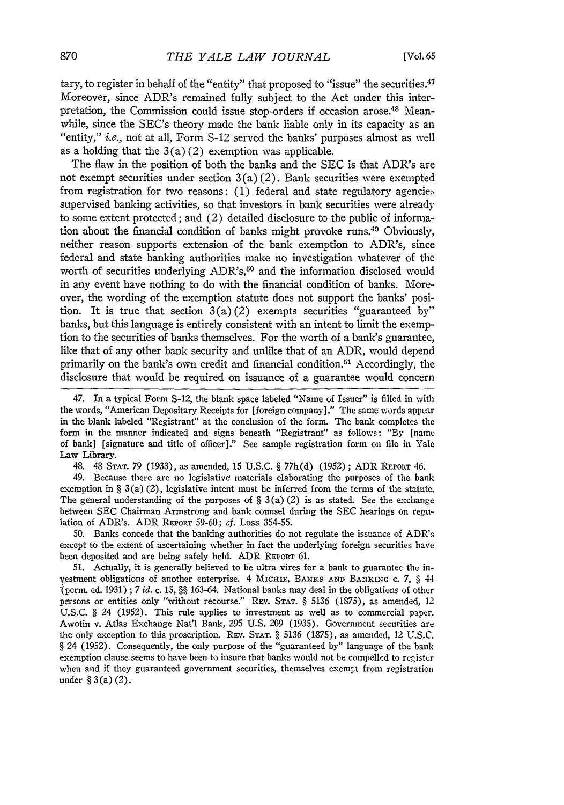tary, to register in behalf of the "entity" that proposed to "issue" the securities.<sup>47</sup> Moreover, since ADR's remained fully subject to the Act under this interpretation, the Commission could issue stop-orders if occasion arose.<sup>48</sup> Meanwhile, since the SEC's theory made the bank liable only in its capacity as an "entity," i.e., not at all, Form S-12 served the banks' purposes almost as well as a holding that the  $3(a)(2)$  exemption was applicable.

The flaw in the position of both the banks and the SEC is that ADR's are not exempt securities under section  $3(a)(2)$ . Bank securities were exempted from registration for two reasons: (1) federal and state regulatory agencies supervised banking activities, so that investors in bank securities were already to some extent protected; and (2) detailed disclosure to the public of information about the financial condition of banks might provoke runs.49 Obviously, neither reason supports extension of the bank exemption to ADR's, since federal and state banking authorities make no investigation whatever of the worth of securities underlying ADR's,<sup>50</sup> and the information disclosed would in any event have nothing to do with the financial condition of banks. Moreover, the wording of the exemption statute does not support the banks' position. It is true that section 3(a) (2) exempts securities "guaranteed **by"** banks, but this language is entirely consistent with an intent to limit the exemption to the securities of banks themselves. For the worth of a bank's guarantee, like that of any other bank security and unlike that of an ADR, would depend primarily on the bank's own credit and financial condition.<sup>51</sup> Accordingly, the disclosure that would be required on issuance of a guarantee would concern

47. In a typical Form S-12, the blank space labeled "Name of Issuer" is filled in with the words, "American Depositary Receipts for [foreign company]." The same words appear in the blank labeled "Registrant" at the conclusion of the form. The bank completes the form in the manner indicated and signs beneath "Registrant" as follows: **"By** [name of bank] [signature and title of officer]." See sample registration form on file in Yale Law Library.

48. 48 STAT. 79 (1933), as amended, 15 U.S.C. § 77h(d) (1952); ADR REPORT 46.

49. Because there are no legislative materials elaborating the purposes of the bank exemption in  $\S 3(a)(2)$ , legislative intent must be inferred from the terms of the statute. The general understanding of the purposes of  $\S 3(a)(2)$  is as stated. See the exchange between SEC Chairman Armstrong and bank counsel during the SEC hearings on regulation of ADR's. ADR REPORT 59-60; cf. Loss 354-55.

50. Banks concede that the banking authorities do not regulate the issuance of ADR's except to the extent of ascertaining whether in fact the underlying foreign securities have been deposited and are being safely held. ADR REPORT 61.

51. Actually, it is generally believed to be ultra vires for a bank to guarantee the in- -Vestment obligations of another enterprise. 4 MIcmIE, BANKS AND BANKINrG **c. 7,** § 44 (perm. ed. 1931) **;** 7 *id.* c. 15, *§§* 163-64. National banks may deal in the obligations of other persons or entities only "without recourse." REV. STAT. § 5136 (1875), as amended, 12 U.S.C. § 24 (1952). This rule applies to investment as well as to commercial paper. Awotin v. Atlas Exchange Nat'l Bank, 295 U.S. 209 (1935). Government securities are the only exception to this proscription. REv. **STAT.** § 5136 (1875), as amended, 12 U.S.C. § 24 (1952). Consequently, the only purpose of the "guaranteed by" language of the bank exemption clause seems to have been to insure that banks would not be compelled to register when and if they guaranteed government securities, themselves exempt from registration under § **3** (a) (2).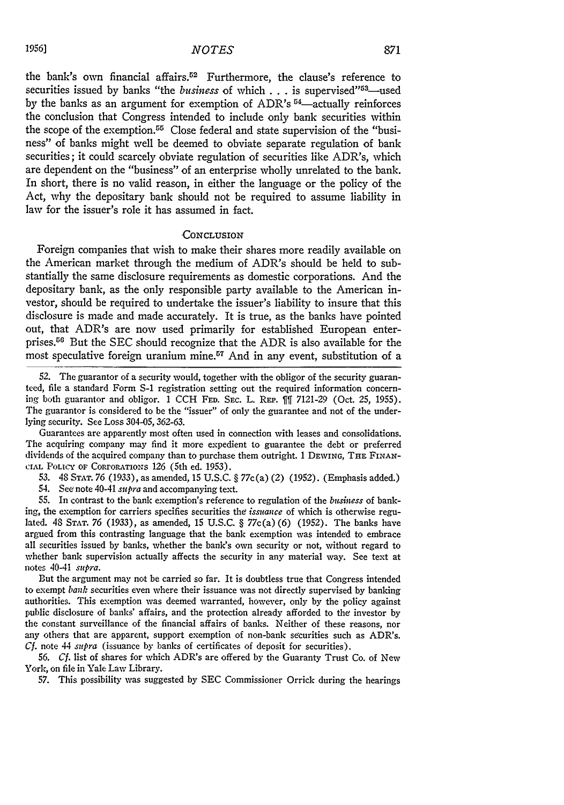the bank's own financial affairs.<sup>52</sup> Furthermore, the clause's reference to securities issued by banks "the *business* of which . . . is supervised"<sup>53</sup>—used by the banks as an argument for exemption of ADR's <sup>54</sup>-actually reinforces the conclusion that Congress intended to include only bank securities within the scope of the exemption.<sup> $55$ </sup> Close federal and state supervision of the "business" of banks might well be deemed to obviate separate regulation of bank securities; it could scarcely obviate regulation of securities like ADR's, which are dependent on the "business" of an enterprise wholly unrelated to the bank. In short, there is no valid reason, in either the language or the policy of the Act, why the depositary bank should not be required to assume liability in law for the issuer's role it has assumed in fact.

### **'CONCLUSION**

Foreign companies that wish to make their shares more readily available on the American market through the medium of ADR's should be held to substantially the same disclosure requirements as domestic corporations. And the depositary bank, as the only responsible party available to the American investor, should be required to undertake the issuer's liability to insure that this disclosure is made and made accurately. It is true, as the banks have pointed out, that ADR's are now used primarily for established European enterprises.<sup>56</sup> But the SEC should recognize that the ADR is also available for the most speculative foreign uranium mine.<sup>57</sup> And in any event, substitution of a

52. The guarantor of a security would, together with the obligor of the security guaranteed, file a standard Form **S-1** registration setting out the required information concerning both guarantor and obligor. 1 CCH FED. SEC. L. REP.  $\parallel$  7121-29 (Oct. 25, 1955). The guarantor is considered to be the "issuer" of only the guarantee and not of the underlying security. See Loss 304-05, 362-63.

Guarantees are apparently most often used in connection with leases and consolidations. The acquiring company may find it more expedient to guarantee the debt or preferred dividends of the acquired company than to purchase them outright. 1 DEWING, THE FINAN-**CIAl** POucY oF CORroRATioNs 126 (5th ed. 1953).

53. 48 **STAT.** 76 (1933), as amended, 15 U.S.C. § 77c(a) (2) (1952). (Emphasis added.) 54. See note 40-41 *supra* and accompanying text.

55. In contrast to the bank exemption's reference to regulation of the *business* of banking, the exemption for carriers specifies securities the *issuance* of which is otherwise regulated. 48 STAT. 76 (1933), as amended, 15 U.S.C. § 77c(a)(6) (1952). The banks have argued from this contrasting language that the bank exemption was intended to embrace all securities issued by banks, whether the bank's own security or not, without regard to whether bank supervision actually affects the security in any material way. See text at notes 40-41 *supra.*

But the argument may not be carried so far. It is doubtless true that Congress intended to exempt *bank* securities even where their issuance was not directly supervised by banking authorities. This exemption was deemed warranted, however, only by the policy against public disclosure of banks' affairs, and the protection already afforded to the investor by the constant surveillance of the financial affairs of banks. Neither of these reasons, nor any others that are apparent, support exemption of non-bank securities such as ADR's. *Cf.* note 44 *supra* (issuance by banks of certificates of deposit for securities).

56. *Cf.* list of shares for which ADR's are offered by the Guaranty Trust Co. of New York, on file in Yale Law Library.

57. This possibility was suggested by SEC Commissioner Orrick during the hearings